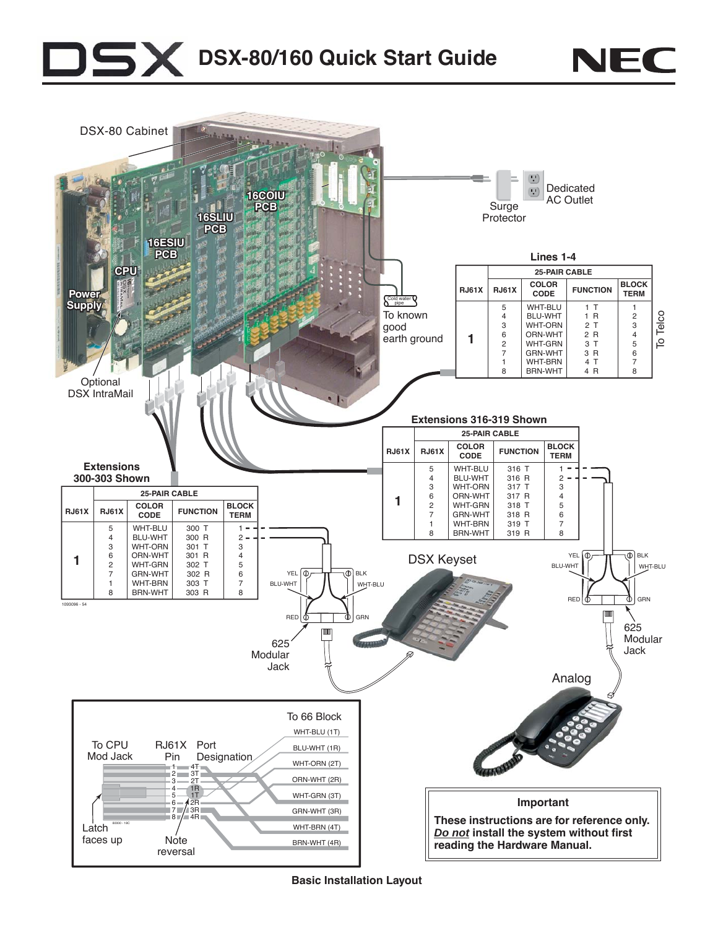## $\overline{\mathbf{x}}$ **DSX-80/160 Quick Start Guide**



NEC